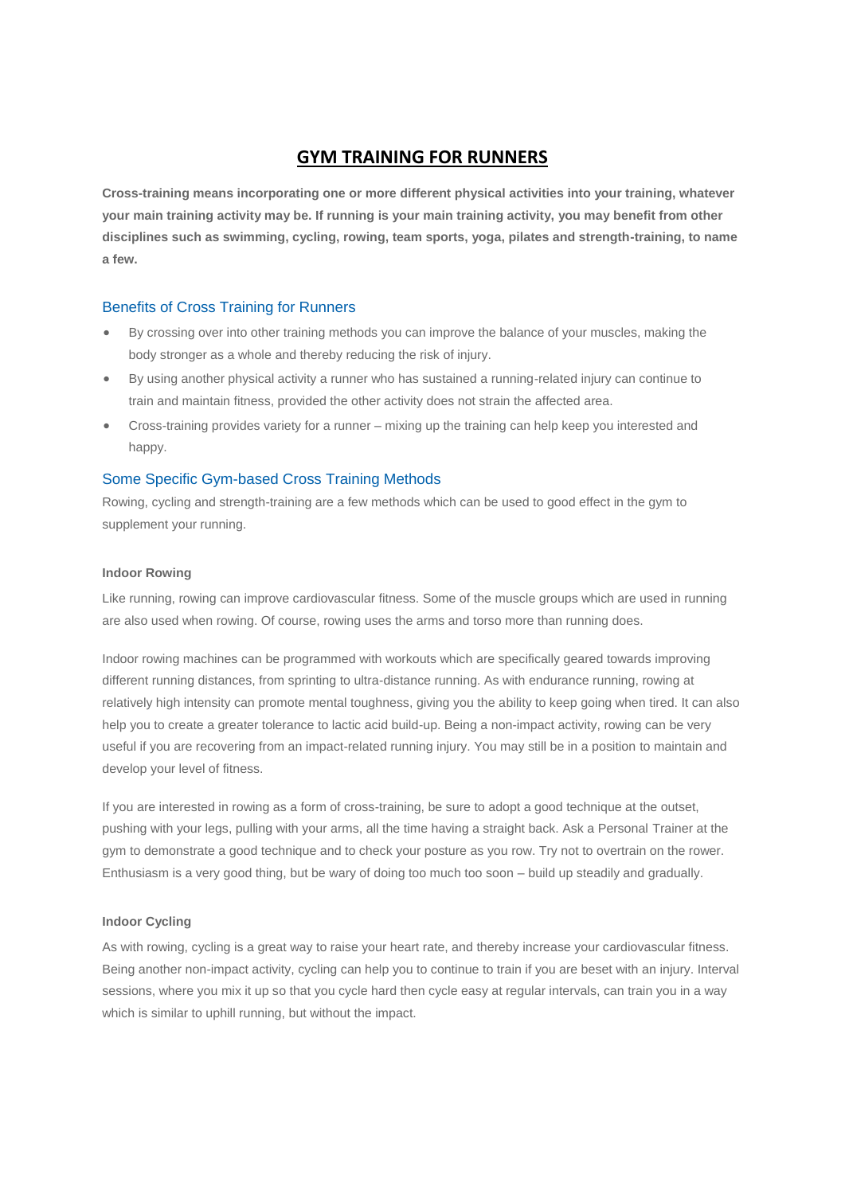# **GYM TRAINING FOR RUNNERS**

**Cross-training means incorporating one or more different physical activities into your training, whatever your main training activity may be. If running is your main training activity, you may benefit from other disciplines such as swimming, cycling, rowing, team sports, yoga, pilates and strength-training, to name a few.**

# Benefits of Cross Training for Runners

- By crossing over into other training methods you can improve the balance of your muscles, making the body stronger as a whole and thereby reducing the risk of injury.
- By using another physical activity a runner who has sustained a running-related injury can continue to train and maintain fitness, provided the other activity does not strain the affected area.
- Cross-training provides variety for a runner mixing up the training can help keep you interested and happy.

# Some Specific Gym-based Cross Training Methods

Rowing, cycling and strength-training are a few methods which can be used to good effect in the gym to supplement your running.

#### **Indoor Rowing**

Like running, rowing can improve cardiovascular fitness. Some of the muscle groups which are used in running are also used when rowing. Of course, rowing uses the arms and torso more than running does.

Indoor rowing machines can be programmed with workouts which are specifically geared towards improving different running distances, from sprinting to ultra-distance running. As with endurance running, rowing at relatively high intensity can promote mental toughness, giving you the ability to keep going when tired. It can also help you to create a greater tolerance to lactic acid build-up. Being a non-impact activity, rowing can be very useful if you are recovering from an impact-related running injury. You may still be in a position to maintain and develop your level of fitness.

If you are interested in rowing as a form of cross-training, be sure to adopt a good technique at the outset, pushing with your legs, pulling with your arms, all the time having a straight back. Ask a Personal Trainer at the gym to demonstrate a good technique and to check your posture as you row. Try not to overtrain on the rower. Enthusiasm is a very good thing, but be wary of doing too much too soon – build up steadily and gradually.

### **Indoor Cycling**

As with rowing, cycling is a great way to raise your heart rate, and thereby increase your cardiovascular fitness. Being another non-impact activity, cycling can help you to continue to train if you are beset with an injury. Interval sessions, where you mix it up so that you cycle hard then cycle easy at regular intervals, can train you in a way which is similar to uphill running, but without the impact.